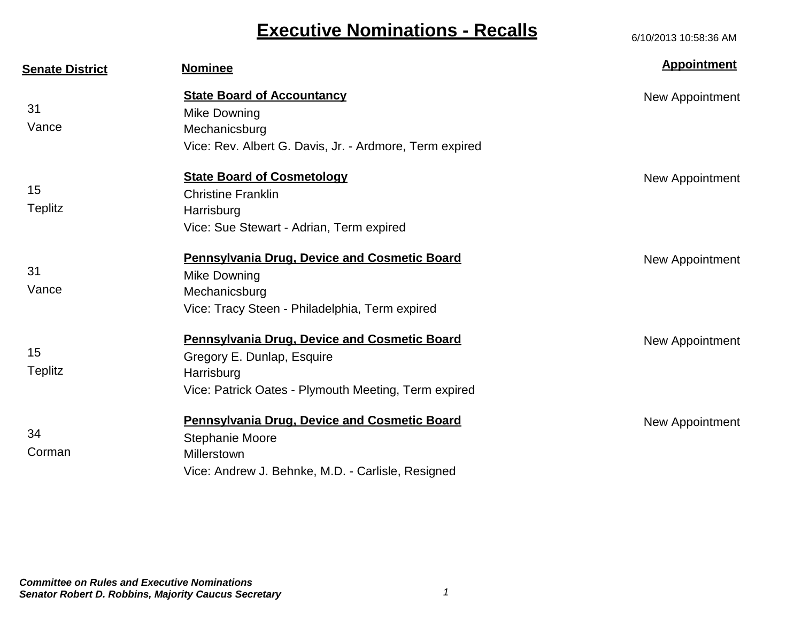| <b>Senate District</b> | <b>Nominee</b>                                          | <b>Appointment</b> |
|------------------------|---------------------------------------------------------|--------------------|
|                        | <b>State Board of Accountancy</b>                       | New Appointment    |
| 31                     | Mike Downing                                            |                    |
| Vance                  | Mechanicsburg                                           |                    |
|                        | Vice: Rev. Albert G. Davis, Jr. - Ardmore, Term expired |                    |
|                        | <b>State Board of Cosmetology</b>                       | New Appointment    |
| 15                     | <b>Christine Franklin</b>                               |                    |
| <b>Teplitz</b>         | Harrisburg                                              |                    |
|                        | Vice: Sue Stewart - Adrian, Term expired                |                    |
|                        | <b>Pennsylvania Drug, Device and Cosmetic Board</b>     | New Appointment    |
| 31                     | Mike Downing                                            |                    |
| Vance                  | Mechanicsburg                                           |                    |
|                        | Vice: Tracy Steen - Philadelphia, Term expired          |                    |
|                        | <b>Pennsylvania Drug, Device and Cosmetic Board</b>     | New Appointment    |
| 15                     | Gregory E. Dunlap, Esquire                              |                    |
| Teplitz                | Harrisburg                                              |                    |
|                        | Vice: Patrick Oates - Plymouth Meeting, Term expired    |                    |
|                        | <b>Pennsylvania Drug, Device and Cosmetic Board</b>     | New Appointment    |
| 34                     | Stephanie Moore                                         |                    |
| Corman                 | Millerstown                                             |                    |
|                        | Vice: Andrew J. Behnke, M.D. - Carlisle, Resigned       |                    |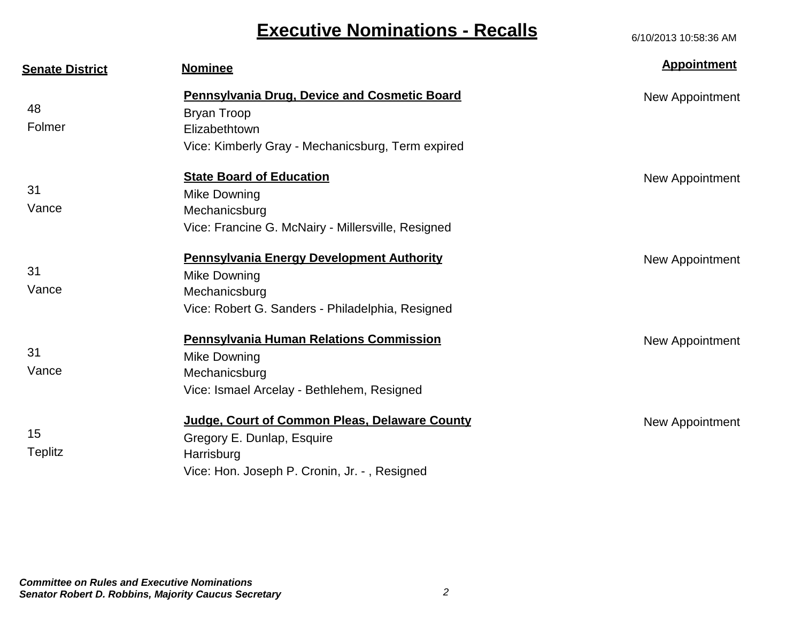| <b>Senate District</b> | <b>Nominee</b>                                      | <b>Appointment</b> |
|------------------------|-----------------------------------------------------|--------------------|
|                        | <b>Pennsylvania Drug, Device and Cosmetic Board</b> | New Appointment    |
| 48                     | <b>Bryan Troop</b>                                  |                    |
| Folmer                 | Elizabethtown                                       |                    |
|                        | Vice: Kimberly Gray - Mechanicsburg, Term expired   |                    |
|                        | <b>State Board of Education</b>                     | New Appointment    |
| 31                     | Mike Downing                                        |                    |
| Vance                  | Mechanicsburg                                       |                    |
|                        | Vice: Francine G. McNairy - Millersville, Resigned  |                    |
|                        | <b>Pennsylvania Energy Development Authority</b>    | New Appointment    |
| 31                     | Mike Downing                                        |                    |
| Vance                  | Mechanicsburg                                       |                    |
|                        | Vice: Robert G. Sanders - Philadelphia, Resigned    |                    |
|                        | <b>Pennsylvania Human Relations Commission</b>      | New Appointment    |
| 31                     | Mike Downing                                        |                    |
| Vance                  | Mechanicsburg                                       |                    |
|                        | Vice: Ismael Arcelay - Bethlehem, Resigned          |                    |
|                        | Judge, Court of Common Pleas, Delaware County       | New Appointment    |
| 15                     | Gregory E. Dunlap, Esquire                          |                    |
| <b>Teplitz</b>         | Harrisburg                                          |                    |
|                        | Vice: Hon. Joseph P. Cronin, Jr. -, Resigned        |                    |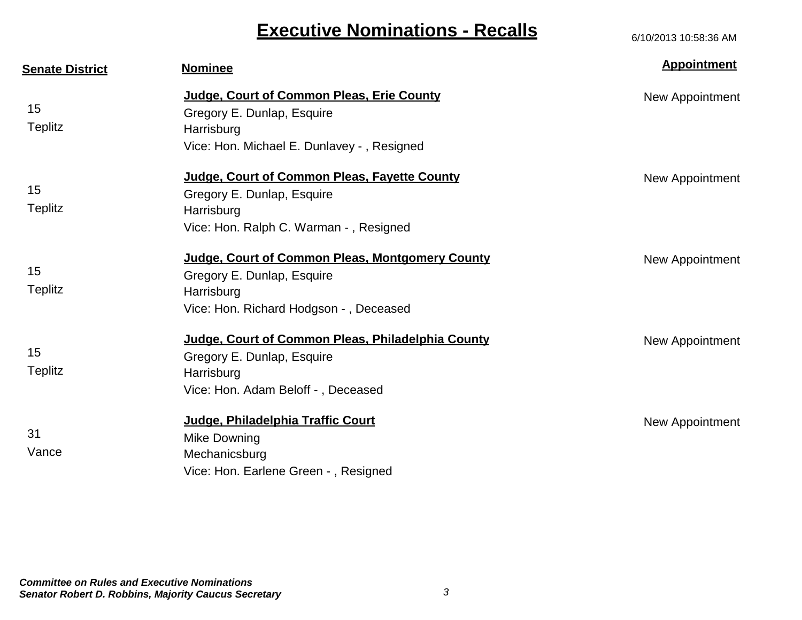| <b>Senate District</b> | <b>Nominee</b>                                                                                                                        | <b>Appointment</b> |
|------------------------|---------------------------------------------------------------------------------------------------------------------------------------|--------------------|
| 15<br><b>Teplitz</b>   | Judge, Court of Common Pleas, Erie County<br>Gregory E. Dunlap, Esquire<br>Harrisburg<br>Vice: Hon. Michael E. Dunlavey -, Resigned   | New Appointment    |
| 15<br><b>Teplitz</b>   | Judge, Court of Common Pleas, Fayette County<br>Gregory E. Dunlap, Esquire<br>Harrisburg<br>Vice: Hon. Ralph C. Warman -, Resigned    | New Appointment    |
| 15<br><b>Teplitz</b>   | Judge, Court of Common Pleas, Montgomery County<br>Gregory E. Dunlap, Esquire<br>Harrisburg<br>Vice: Hon. Richard Hodgson -, Deceased | New Appointment    |
| 15<br><b>Teplitz</b>   | Judge, Court of Common Pleas, Philadelphia County<br>Gregory E. Dunlap, Esquire<br>Harrisburg<br>Vice: Hon. Adam Beloff -, Deceased   | New Appointment    |
| 31<br>Vance            | Judge, Philadelphia Traffic Court<br>Mike Downing<br>Mechanicsburg<br>Vice: Hon. Earlene Green -, Resigned                            | New Appointment    |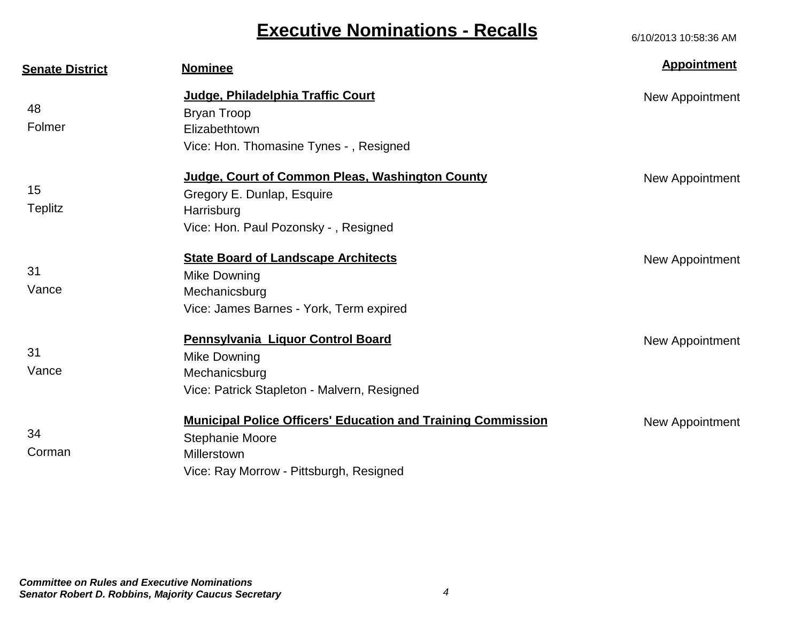| <b>Senate District</b> | <b>Nominee</b>                                                                                                                                   | <b>Appointment</b> |
|------------------------|--------------------------------------------------------------------------------------------------------------------------------------------------|--------------------|
| 48<br>Folmer           | Judge, Philadelphia Traffic Court<br><b>Bryan Troop</b>                                                                                          | New Appointment    |
|                        | Elizabethtown<br>Vice: Hon. Thomasine Tynes -, Resigned                                                                                          |                    |
| 15<br>Teplitz          | Judge, Court of Common Pleas, Washington County<br>Gregory E. Dunlap, Esquire<br>Harrisburg<br>Vice: Hon. Paul Pozonsky - , Resigned             | New Appointment    |
| 31<br>Vance            | <b>State Board of Landscape Architects</b><br>Mike Downing<br>Mechanicsburg<br>Vice: James Barnes - York, Term expired                           | New Appointment    |
| 31<br>Vance            | Pennsylvania Liquor Control Board<br>Mike Downing<br>Mechanicsburg<br>Vice: Patrick Stapleton - Malvern, Resigned                                | New Appointment    |
| 34<br>Corman           | <b>Municipal Police Officers' Education and Training Commission</b><br>Stephanie Moore<br>Millerstown<br>Vice: Ray Morrow - Pittsburgh, Resigned | New Appointment    |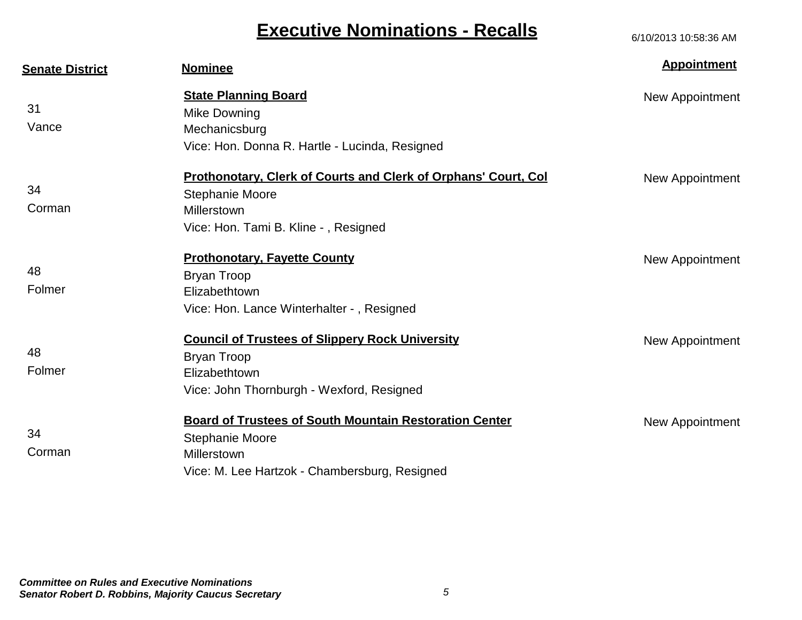| <b>Senate District</b> | <b>Nominee</b>                                                        | <b>Appointment</b> |
|------------------------|-----------------------------------------------------------------------|--------------------|
|                        | <b>State Planning Board</b>                                           | New Appointment    |
| 31                     | Mike Downing                                                          |                    |
| Vance                  | Mechanicsburg                                                         |                    |
|                        | Vice: Hon. Donna R. Hartle - Lucinda, Resigned                        |                    |
|                        | <b>Prothonotary, Clerk of Courts and Clerk of Orphans' Court, Col</b> | New Appointment    |
| 34                     | <b>Stephanie Moore</b>                                                |                    |
| Corman                 | Millerstown                                                           |                    |
|                        | Vice: Hon. Tami B. Kline -, Resigned                                  |                    |
|                        | <b>Prothonotary, Fayette County</b>                                   | New Appointment    |
| 48                     | <b>Bryan Troop</b>                                                    |                    |
| Folmer                 | Elizabethtown                                                         |                    |
|                        | Vice: Hon. Lance Winterhalter -, Resigned                             |                    |
|                        | <b>Council of Trustees of Slippery Rock University</b>                | New Appointment    |
| 48                     | <b>Bryan Troop</b>                                                    |                    |
| Folmer                 | Elizabethtown                                                         |                    |
|                        | Vice: John Thornburgh - Wexford, Resigned                             |                    |
|                        | <b>Board of Trustees of South Mountain Restoration Center</b>         | New Appointment    |
| 34                     | <b>Stephanie Moore</b>                                                |                    |
| Corman                 | Millerstown                                                           |                    |
|                        | Vice: M. Lee Hartzok - Chambersburg, Resigned                         |                    |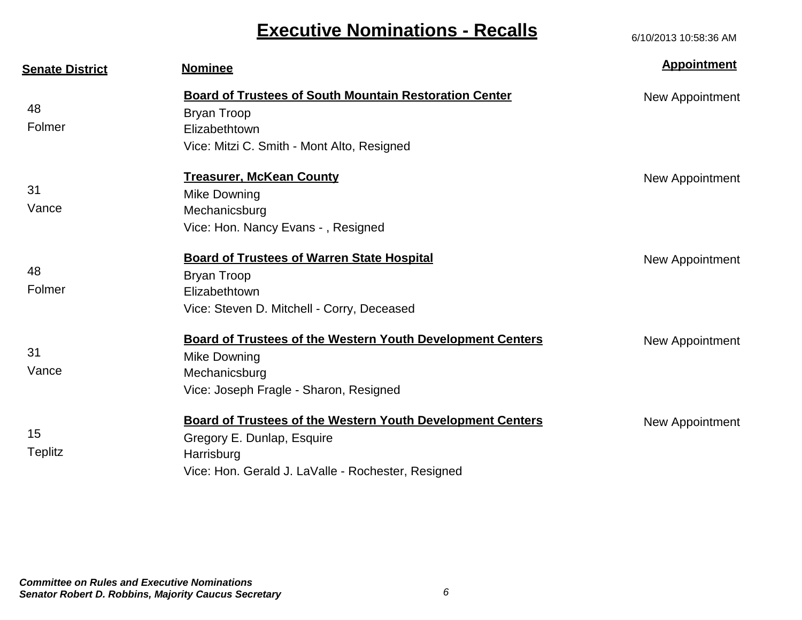| <b>Senate District</b> | <b>Nominee</b>                                                    | <b>Appointment</b> |
|------------------------|-------------------------------------------------------------------|--------------------|
|                        | <b>Board of Trustees of South Mountain Restoration Center</b>     | New Appointment    |
| 48                     | <b>Bryan Troop</b>                                                |                    |
| Folmer                 | Elizabethtown                                                     |                    |
|                        | Vice: Mitzi C. Smith - Mont Alto, Resigned                        |                    |
|                        | <b>Treasurer, McKean County</b>                                   | New Appointment    |
| 31                     | Mike Downing                                                      |                    |
| Vance                  | Mechanicsburg                                                     |                    |
|                        | Vice: Hon. Nancy Evans -, Resigned                                |                    |
|                        | <b>Board of Trustees of Warren State Hospital</b>                 | New Appointment    |
| 48                     | <b>Bryan Troop</b>                                                |                    |
| Folmer                 | Elizabethtown                                                     |                    |
|                        | Vice: Steven D. Mitchell - Corry, Deceased                        |                    |
|                        | <b>Board of Trustees of the Western Youth Development Centers</b> | New Appointment    |
| 31                     | Mike Downing                                                      |                    |
| Vance                  | Mechanicsburg                                                     |                    |
|                        | Vice: Joseph Fragle - Sharon, Resigned                            |                    |
|                        | <b>Board of Trustees of the Western Youth Development Centers</b> | New Appointment    |
| 15                     | Gregory E. Dunlap, Esquire                                        |                    |
| <b>Teplitz</b>         | Harrisburg                                                        |                    |
|                        | Vice: Hon. Gerald J. LaValle - Rochester, Resigned                |                    |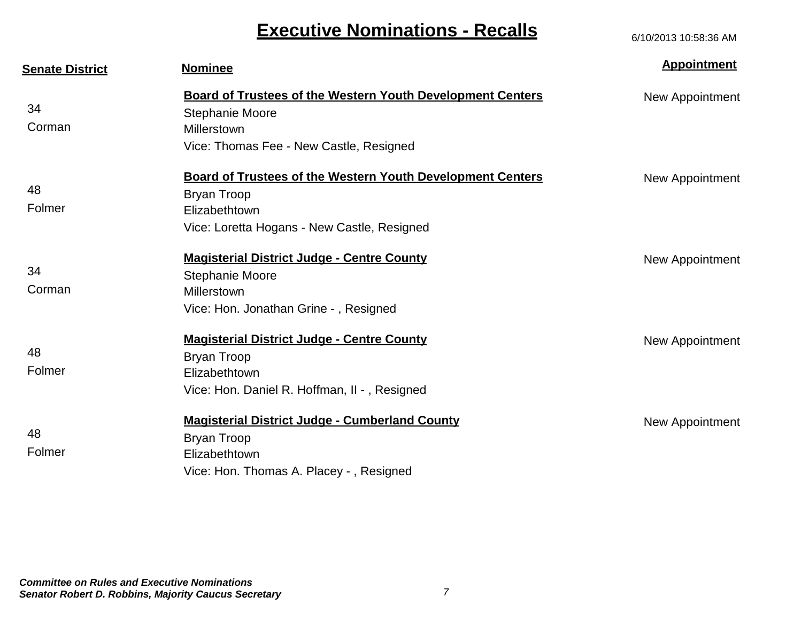| <b>Senate District</b> | <b>Nominee</b>                                                    | <b>Appointment</b> |
|------------------------|-------------------------------------------------------------------|--------------------|
|                        | <b>Board of Trustees of the Western Youth Development Centers</b> | New Appointment    |
| 34                     | <b>Stephanie Moore</b>                                            |                    |
| Corman                 | Millerstown                                                       |                    |
|                        | Vice: Thomas Fee - New Castle, Resigned                           |                    |
|                        | <b>Board of Trustees of the Western Youth Development Centers</b> | New Appointment    |
| 48                     | <b>Bryan Troop</b>                                                |                    |
| Folmer                 | Elizabethtown                                                     |                    |
|                        | Vice: Loretta Hogans - New Castle, Resigned                       |                    |
|                        | <b>Magisterial District Judge - Centre County</b>                 | New Appointment    |
| 34                     | <b>Stephanie Moore</b>                                            |                    |
| Corman                 | Millerstown                                                       |                    |
|                        | Vice: Hon. Jonathan Grine -, Resigned                             |                    |
|                        | <b>Magisterial District Judge - Centre County</b>                 | New Appointment    |
| 48                     | <b>Bryan Troop</b>                                                |                    |
| Folmer                 | Elizabethtown                                                     |                    |
|                        | Vice: Hon. Daniel R. Hoffman, II - , Resigned                     |                    |
|                        | <b>Magisterial District Judge - Cumberland County</b>             | New Appointment    |
| 48                     | Bryan Troop                                                       |                    |
| Folmer                 | Elizabethtown                                                     |                    |
|                        | Vice: Hon. Thomas A. Placey -, Resigned                           |                    |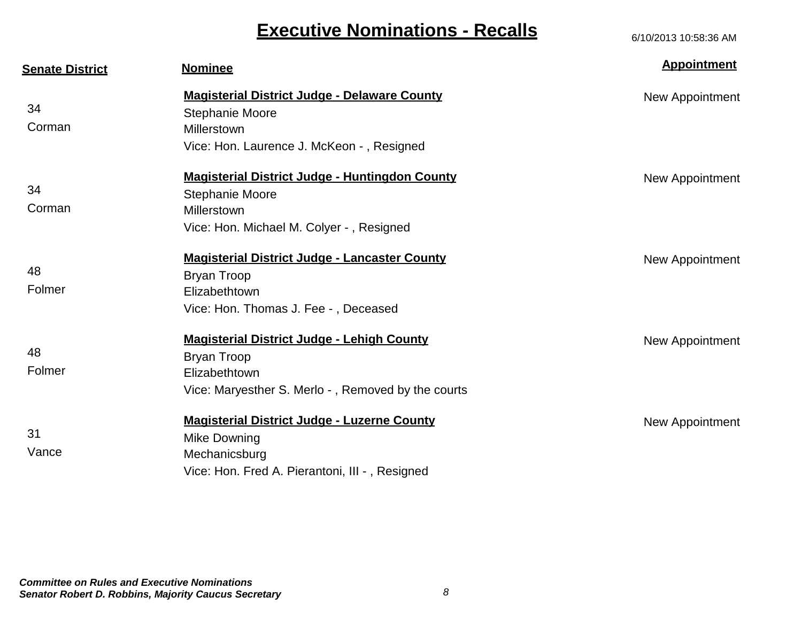| <b>Senate District</b> | <b>Nominee</b>                                                                                                                                 | <b>Appointment</b> |
|------------------------|------------------------------------------------------------------------------------------------------------------------------------------------|--------------------|
| 34<br>Corman           | <b>Magisterial District Judge - Delaware County</b><br><b>Stephanie Moore</b><br>Millerstown<br>Vice: Hon. Laurence J. McKeon -, Resigned      | New Appointment    |
| 34<br>Corman           | <b>Magisterial District Judge - Huntingdon County</b><br><b>Stephanie Moore</b><br>Millerstown<br>Vice: Hon. Michael M. Colyer -, Resigned     | New Appointment    |
| 48<br>Folmer           | <b>Magisterial District Judge - Lancaster County</b><br>Bryan Troop<br>Elizabethtown<br>Vice: Hon. Thomas J. Fee -, Deceased                   | New Appointment    |
| 48<br>Folmer           | <b>Magisterial District Judge - Lehigh County</b><br><b>Bryan Troop</b><br>Elizabethtown<br>Vice: Maryesther S. Merlo -, Removed by the courts | New Appointment    |
| 31<br>Vance            | <b>Magisterial District Judge - Luzerne County</b><br>Mike Downing<br>Mechanicsburg<br>Vice: Hon. Fred A. Pierantoni, III -, Resigned          | New Appointment    |